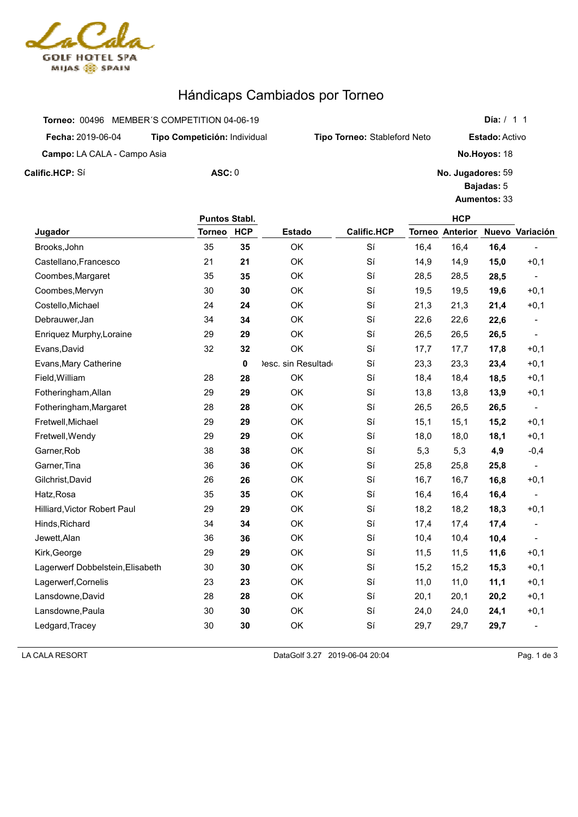

## Hándicaps Cambiados por Torneo

| Torneo: 00496 MEMBER'S COMPETITION 04-06-19 |  | Día: /                              |
|---------------------------------------------|--|-------------------------------------|
| Tipo Competición: Individual                |  |                                     |
| <b>Campo:</b> LA CALA - Campo Asia          |  | No.Hoyos: 18                        |
| $\text{ASC}: 0$                             |  | No. Jugadores: 59                   |
|                                             |  | <b>Tipo Torneo: Stableford Neto</b> |

**Jugador Puntos Stabl. Estado Calific.HCP HCP Torneo HCP Torneo Anterior Nuevo Variación** Brooks,John 35 **35** OK Sí 16,4 16,4 **16,4** - Castellano,Francesco 21 **21** OK Sí 14,9 14,9 **15,0** +0,1 Coombes,Margaret 35 **35** OK Sí 28,5 28,5 **28,5** - Coombes,Mervyn 30 **30** OK Sí 19,5 19,5 **19,6** +0,1 Costello,Michael 24 **24** OK Sí 21,3 21,3 **21,4** +0,1 Debrauwer,Jan 34 **34** OK Sí 22,6 22,6 **22,6** - Enriquez Murphy,Loraine 29 **29** OK Sí 26,5 26,5 **26,5** - Evans,David 32 **32** OK Sí 17,7 17,7 **17,8** +0,1 Evans,Mary Catherine **0** Desc. sin Resultado Sí 23,3 23,3 **23,4** +0,1 Field,William 28 **28** OK Sí 18,4 18,4 **18,5** +0,1 Fotheringham,Allan 29 **29** OK Sí 13,8 13,8 **13,9** +0,1 Fotheringham,Margaret 28 **28** OK Sí 26,5 26,5 **26,5** - Fretwell,Michael 29 **29** OK Sí 15,1 15,1 **15,2** +0,1 Fretwell,Wendy 29 **29** OK Sí 18,0 18,0 **18,1** +0,1 Garner,Rob 38 **38** OK Sí 5,3 5,3 **4,9** -0,4 Garner,Tina 36 **36** OK Sí 25,8 25,8 **25,8** - Gilchrist,David 26 **26** OK Sí 16,7 16,7 **16,8** +0,1 Hatz,Rosa 35 **35** OK Sí 16,4 16,4 **16,4** - Hilliard,Victor Robert Paul 29 **29** OK Sí 18,2 18,2 **18,3** +0,1 Hinds,Richard 34 **34** OK Sí 17,4 17,4 **17,4** - Jewett,Alan 36 **36** OK Sí 10,4 10,4 **10,4** - Kirk,George 29 **29** OK Sí 11,5 11,5 **11,6** +0,1 Lagerwerf Dobbelstein, Elisabeth 30 30 OK Sí 15,2 15,3 +0,1 Lagerwerf,Cornelis 23 **23** OK Sí 11,0 11,0 **11,1** +0,1 Lansdowne,David 28 **28** OK Sí 20,1 20,1 **20,2** +0,1 Lansdowne,Paula 30 **30** OK Sí 24,0 24,0 **24,1** +0,1 Ledgard,Tracey 30 **30** OK Sí 29,7 29,7 **29,7** -

LA CALA RESORT DataGolf 3.27 2019-06-04 20:04 Pag. 1 de 3

**Día:** / 1 1

**Estado:** Activo

**Bajadas:** 5 **Aumentos:** 33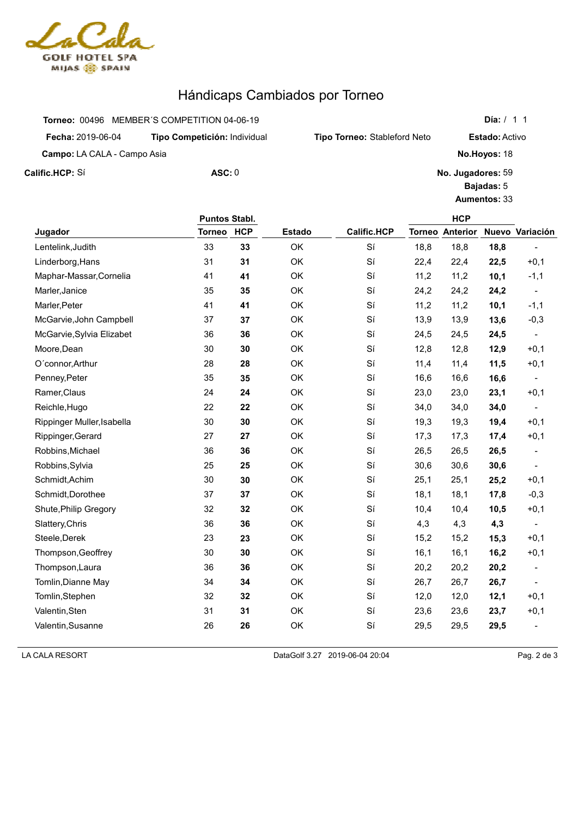

## Hándicaps Cambiados por Torneo

|                                    | Torneo: 00496 MEMBER'S COMPETITION 04-06-19 |                       |
|------------------------------------|---------------------------------------------|-----------------------|
| <b>Fecha: 2019-06-04</b>           | Tipo Competición: Individual                | <b>Tipo Torneo: S</b> |
| <b>Campo:</b> LA CALA - Campo Asia |                                             |                       |
| Calific.HCP: Sí                    | $\text{ASC}: 0$                             |                       |

2019-06-04 **Tipo Competición:** Individual **Tipo Torneo:** Stableford Neto **Estado:** Activo **No.Hoyos:** 18 **No. Jugadores:** 59 **Bajadas:** 5 **Aumentos:** 33

**Día:** / 1 1

|                            | <b>Puntos Stabl.</b> |            |               |                    |      | <b>HCP</b>             |      |                          |
|----------------------------|----------------------|------------|---------------|--------------------|------|------------------------|------|--------------------------|
| Jugador                    | <b>Torneo</b>        | <b>HCP</b> | <b>Estado</b> | <b>Calific.HCP</b> |      | <b>Torneo Anterior</b> |      | Nuevo Variación          |
| Lentelink, Judith          | 33                   | 33         | OK            | Sí                 | 18,8 | 18,8                   | 18,8 |                          |
| Linderborg, Hans           | 31                   | 31         | OK            | Sí                 | 22,4 | 22,4                   | 22,5 | $+0,1$                   |
| Maphar-Massar, Cornelia    | 41                   | 41         | OK            | Sí                 | 11,2 | 11,2                   | 10,1 | $-1,1$                   |
| Marler, Janice             | 35                   | 35         | OK            | Sí                 | 24,2 | 24,2                   | 24,2 |                          |
| Marler, Peter              | 41                   | 41         | OK            | Sí                 | 11,2 | 11,2                   | 10,1 | $-1,1$                   |
| McGarvie, John Campbell    | 37                   | 37         | OK            | Sí                 | 13,9 | 13,9                   | 13,6 | $-0,3$                   |
| McGarvie, Sylvia Elizabet  | 36                   | 36         | OK            | Sí                 | 24,5 | 24,5                   | 24,5 |                          |
| Moore, Dean                | 30                   | 30         | OK            | Sí                 | 12,8 | 12,8                   | 12,9 | $+0,1$                   |
| O'connor, Arthur           | 28                   | 28         | OK            | Sí                 | 11,4 | 11,4                   | 11,5 | $+0,1$                   |
| Penney, Peter              | 35                   | 35         | OK            | Sí                 | 16,6 | 16,6                   | 16,6 |                          |
| Ramer, Claus               | 24                   | 24         | OK            | Sí                 | 23,0 | 23,0                   | 23,1 | $+0,1$                   |
| Reichle, Hugo              | 22                   | 22         | OK            | Sí                 | 34,0 | 34,0                   | 34,0 | $\overline{\phantom{a}}$ |
| Rippinger Muller, Isabella | 30                   | 30         | OK            | Sí                 | 19,3 | 19,3                   | 19,4 | $+0,1$                   |
| Rippinger, Gerard          | 27                   | 27         | OK            | Sí                 | 17,3 | 17,3                   | 17,4 | $+0,1$                   |
| Robbins, Michael           | 36                   | 36         | OK            | Sí                 | 26,5 | 26,5                   | 26,5 | $\overline{\phantom{a}}$ |
| Robbins, Sylvia            | 25                   | 25         | OK            | Sí                 | 30,6 | 30,6                   | 30,6 | $\overline{\phantom{a}}$ |
| Schmidt, Achim             | 30                   | 30         | OK            | Sí                 | 25,1 | 25,1                   | 25,2 | $+0,1$                   |
| Schmidt, Dorothee          | 37                   | 37         | OK            | Sí                 | 18,1 | 18,1                   | 17,8 | $-0,3$                   |
| Shute, Philip Gregory      | 32                   | 32         | OK            | Sí                 | 10,4 | 10,4                   | 10,5 | $+0,1$                   |
| Slattery, Chris            | 36                   | 36         | OK            | Sí                 | 4,3  | 4,3                    | 4,3  | $\overline{\phantom{a}}$ |
| Steele, Derek              | 23                   | 23         | OK            | Sí                 | 15,2 | 15,2                   | 15,3 | $+0,1$                   |
| Thompson, Geoffrey         | 30                   | 30         | OK            | Sí                 | 16,1 | 16,1                   | 16,2 | $+0,1$                   |
| Thompson, Laura            | 36                   | 36         | OK            | Sí                 | 20,2 | 20,2                   | 20,2 |                          |
| Tomlin, Dianne May         | 34                   | 34         | OK            | Sí                 | 26,7 | 26,7                   | 26,7 |                          |
| Tomlin, Stephen            | 32                   | 32         | OK            | Sí                 | 12,0 | 12,0                   | 12,1 | $+0,1$                   |
| Valentin, Sten             | 31                   | 31         | OK            | Sí                 | 23,6 | 23,6                   | 23,7 | $+0,1$                   |
| Valentin, Susanne          | 26                   | 26         | OK            | Sí                 | 29,5 | 29,5                   | 29,5 | $\overline{\phantom{a}}$ |

LA CALA RESORT DataGolf 3.27 2019-06-04 20:04 Pag. 2 de 3